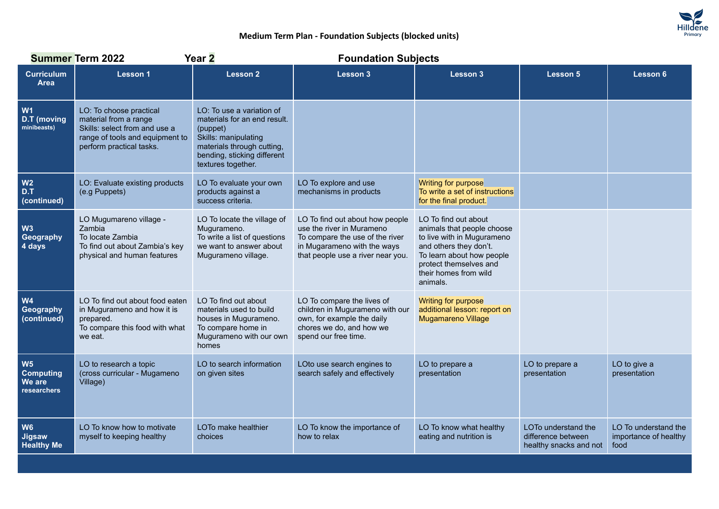

## **Medium Term Plan - Foundation Subjects (blocked units)**

|                                                             | <b>Summer Term 2022</b>                                                                                                                          | Year 2                                                                                                                                                                           | <b>Foundation Subjects</b>                                                                                                                                          |                                                                                                                                                                                                        |                                                                     |                                                       |  |
|-------------------------------------------------------------|--------------------------------------------------------------------------------------------------------------------------------------------------|----------------------------------------------------------------------------------------------------------------------------------------------------------------------------------|---------------------------------------------------------------------------------------------------------------------------------------------------------------------|--------------------------------------------------------------------------------------------------------------------------------------------------------------------------------------------------------|---------------------------------------------------------------------|-------------------------------------------------------|--|
| <b>Curriculum</b><br><b>Area</b>                            | <b>Lesson 1</b>                                                                                                                                  | <b>Lesson 2</b>                                                                                                                                                                  | Lesson 3                                                                                                                                                            | <b>Lesson 3</b>                                                                                                                                                                                        | <b>Lesson 5</b>                                                     | <b>Lesson 6</b>                                       |  |
| W <sub>1</sub><br><b>D.T</b> (moving<br>minibeasts)         | LO: To choose practical<br>material from a range<br>Skills: select from and use a<br>range of tools and equipment to<br>perform practical tasks. | LO: To use a variation of<br>materials for an end result.<br>(puppet)<br>Skills: manipulating<br>materials through cutting,<br>bending, sticking different<br>textures together. |                                                                                                                                                                     |                                                                                                                                                                                                        |                                                                     |                                                       |  |
| W <sub>2</sub><br>D.T<br>(continued)                        | LO: Evaluate existing products<br>(e.g Puppets)                                                                                                  | LO To evaluate your own<br>products against a<br>success criteria.                                                                                                               | LO To explore and use<br>mechanisms in products                                                                                                                     | Writing for purpose<br>To write a set of instructions<br>for the final product.                                                                                                                        |                                                                     |                                                       |  |
| W <sub>3</sub><br>Geography<br>4 days                       | LO Mugumareno village -<br>Zambia<br>To locate Zambia<br>To find out about Zambia's key<br>physical and human features                           | LO To locate the village of<br>Mugurameno.<br>To write a list of questions<br>we want to answer about<br>Mugurameno village.                                                     | LO To find out about how people<br>use the river in Murameno<br>To compare the use of the river<br>in Mugarameno with the ways<br>that people use a river near you. | LO To find out about<br>animals that people choose<br>to live with in Mugurameno<br>and others they don't.<br>To learn about how people<br>protect themselves and<br>their homes from wild<br>animals. |                                                                     |                                                       |  |
| W <sub>4</sub><br>Geography<br>(continued)                  | LO To find out about food eaten<br>in Mugurameno and how it is<br>prepared.<br>To compare this food with what<br>we eat.                         | LO To find out about<br>materials used to build<br>houses in Mugurameno.<br>To compare home in<br>Mugurameno with our own<br>homes                                               | LO To compare the lives of<br>children in Mugurameno with our<br>own, for example the daily<br>chores we do, and how we<br>spend our free time.                     | Writing for purpose<br>additional lesson: report on<br><b>Mugamareno Village</b>                                                                                                                       |                                                                     |                                                       |  |
| W <sub>5</sub><br><b>Computing</b><br>We are<br>researchers | LO to research a topic<br>(cross curricular - Mugameno<br>Village)                                                                               | LO to search information<br>on given sites                                                                                                                                       | LOto use search engines to<br>search safely and effectively                                                                                                         | LO to prepare a<br>presentation                                                                                                                                                                        | LO to prepare a<br>presentation                                     | LO to give a<br>presentation                          |  |
| W <sub>6</sub><br><b>Jigsaw</b><br><b>Healthy Me</b>        | LO To know how to motivate<br>myself to keeping healthy                                                                                          | LOTo make healthier<br>choices                                                                                                                                                   | LO To know the importance of<br>how to relax                                                                                                                        | LO To know what healthy<br>eating and nutrition is                                                                                                                                                     | LOTo understand the<br>difference between<br>healthy snacks and not | LO To understand the<br>importance of healthy<br>food |  |